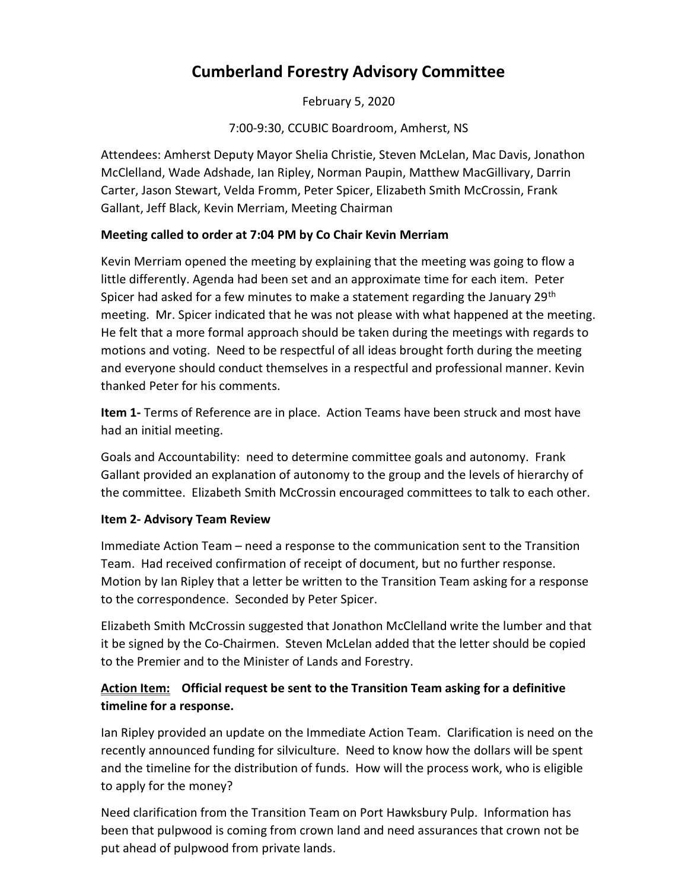# Cumberland Forestry Advisory Committee

February 5, 2020

7:00-9:30, CCUBIC Boardroom, Amherst, NS

Attendees: Amherst Deputy Mayor Shelia Christie, Steven McLelan, Mac Davis, Jonathon McClelland, Wade Adshade, Ian Ripley, Norman Paupin, Matthew MacGillivary, Darrin Carter, Jason Stewart, Velda Fromm, Peter Spicer, Elizabeth Smith McCrossin, Frank Gallant, Jeff Black, Kevin Merriam, Meeting Chairman

## Meeting called to order at 7:04 PM by Co Chair Kevin Merriam

Kevin Merriam opened the meeting by explaining that the meeting was going to flow a little differently. Agenda had been set and an approximate time for each item. Peter Spicer had asked for a few minutes to make a statement regarding the January  $29<sup>th</sup>$ meeting. Mr. Spicer indicated that he was not please with what happened at the meeting. He felt that a more formal approach should be taken during the meetings with regards to motions and voting. Need to be respectful of all ideas brought forth during the meeting and everyone should conduct themselves in a respectful and professional manner. Kevin thanked Peter for his comments.

Item 1- Terms of Reference are in place. Action Teams have been struck and most have had an initial meeting.

Goals and Accountability: need to determine committee goals and autonomy. Frank Gallant provided an explanation of autonomy to the group and the levels of hierarchy of the committee. Elizabeth Smith McCrossin encouraged committees to talk to each other.

## Item 2- Advisory Team Review

Immediate Action Team – need a response to the communication sent to the Transition Team. Had received confirmation of receipt of document, but no further response. Motion by Ian Ripley that a letter be written to the Transition Team asking for a response to the correspondence. Seconded by Peter Spicer.

Elizabeth Smith McCrossin suggested that Jonathon McClelland write the lumber and that it be signed by the Co-Chairmen. Steven McLelan added that the letter should be copied to the Premier and to the Minister of Lands and Forestry.

## Action Item: Official request be sent to the Transition Team asking for a definitive timeline for a response.

Ian Ripley provided an update on the Immediate Action Team. Clarification is need on the recently announced funding for silviculture. Need to know how the dollars will be spent and the timeline for the distribution of funds. How will the process work, who is eligible to apply for the money?

Need clarification from the Transition Team on Port Hawksbury Pulp. Information has been that pulpwood is coming from crown land and need assurances that crown not be put ahead of pulpwood from private lands.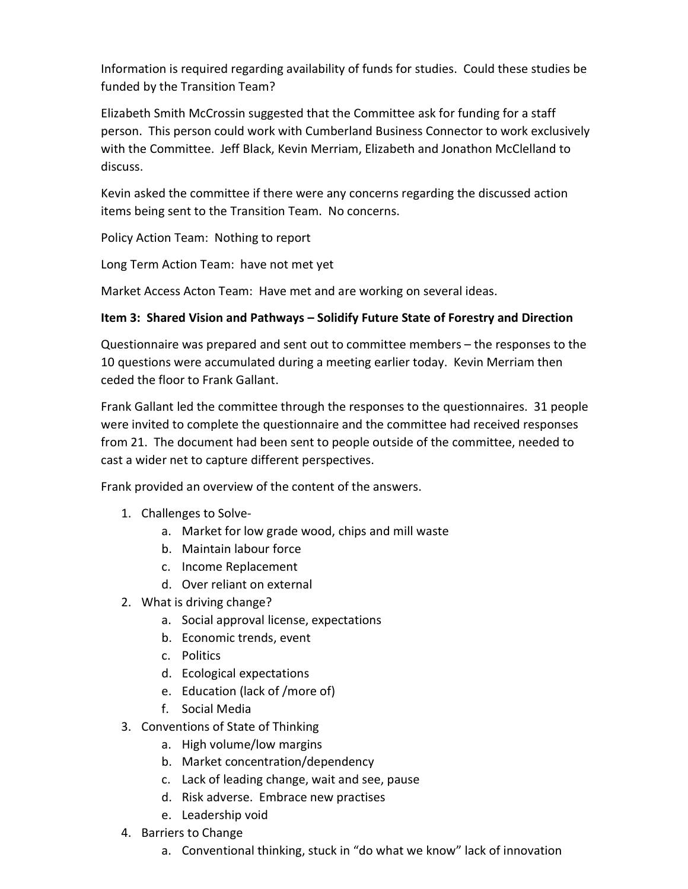Information is required regarding availability of funds for studies. Could these studies be funded by the Transition Team?

Elizabeth Smith McCrossin suggested that the Committee ask for funding for a staff person. This person could work with Cumberland Business Connector to work exclusively with the Committee. Jeff Black, Kevin Merriam, Elizabeth and Jonathon McClelland to discuss.

Kevin asked the committee if there were any concerns regarding the discussed action items being sent to the Transition Team. No concerns.

Policy Action Team: Nothing to report

Long Term Action Team: have not met yet

Market Access Acton Team: Have met and are working on several ideas.

## Item 3: Shared Vision and Pathways – Solidify Future State of Forestry and Direction

Questionnaire was prepared and sent out to committee members – the responses to the 10 questions were accumulated during a meeting earlier today. Kevin Merriam then ceded the floor to Frank Gallant.

Frank Gallant led the committee through the responses to the questionnaires. 31 people were invited to complete the questionnaire and the committee had received responses from 21. The document had been sent to people outside of the committee, needed to cast a wider net to capture different perspectives.

Frank provided an overview of the content of the answers.

- 1. Challenges to Solve
	- a. Market for low grade wood, chips and mill waste
	- b. Maintain labour force
	- c. Income Replacement
	- d. Over reliant on external
- 2. What is driving change?
	- a. Social approval license, expectations
	- b. Economic trends, event
	- c. Politics
	- d. Ecological expectations
	- e. Education (lack of /more of)
	- f. Social Media
- 3. Conventions of State of Thinking
	- a. High volume/low margins
	- b. Market concentration/dependency
	- c. Lack of leading change, wait and see, pause
	- d. Risk adverse. Embrace new practises
	- e. Leadership void
- 4. Barriers to Change
	- a. Conventional thinking, stuck in "do what we know" lack of innovation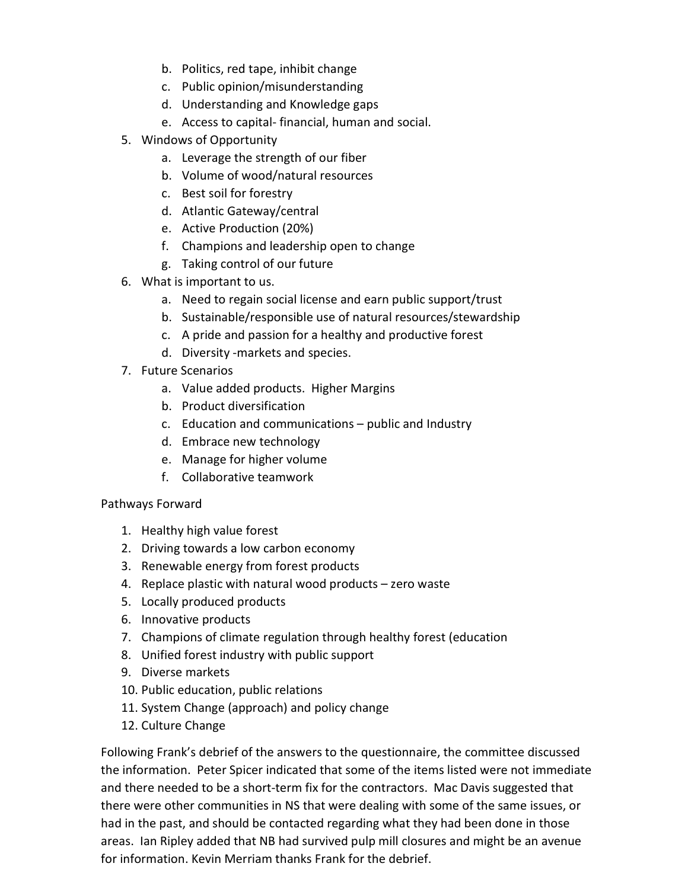- b. Politics, red tape, inhibit change
- c. Public opinion/misunderstanding
- d. Understanding and Knowledge gaps
- e. Access to capital- financial, human and social.
- 5. Windows of Opportunity
	- a. Leverage the strength of our fiber
	- b. Volume of wood/natural resources
	- c. Best soil for forestry
	- d. Atlantic Gateway/central
	- e. Active Production (20%)
	- f. Champions and leadership open to change
	- g. Taking control of our future
- 6. What is important to us.
	- a. Need to regain social license and earn public support/trust
	- b. Sustainable/responsible use of natural resources/stewardship
	- c. A pride and passion for a healthy and productive forest
	- d. Diversity -markets and species.
- 7. Future Scenarios
	- a. Value added products. Higher Margins
	- b. Product diversification
	- c. Education and communications public and Industry
	- d. Embrace new technology
	- e. Manage for higher volume
	- f. Collaborative teamwork

## Pathways Forward

- 1. Healthy high value forest
- 2. Driving towards a low carbon economy
- 3. Renewable energy from forest products
- 4. Replace plastic with natural wood products zero waste
- 5. Locally produced products
- 6. Innovative products
- 7. Champions of climate regulation through healthy forest (education
- 8. Unified forest industry with public support
- 9. Diverse markets
- 10. Public education, public relations
- 11. System Change (approach) and policy change
- 12. Culture Change

Following Frank's debrief of the answers to the questionnaire, the committee discussed the information. Peter Spicer indicated that some of the items listed were not immediate and there needed to be a short-term fix for the contractors. Mac Davis suggested that there were other communities in NS that were dealing with some of the same issues, or had in the past, and should be contacted regarding what they had been done in those areas. Ian Ripley added that NB had survived pulp mill closures and might be an avenue for information. Kevin Merriam thanks Frank for the debrief.